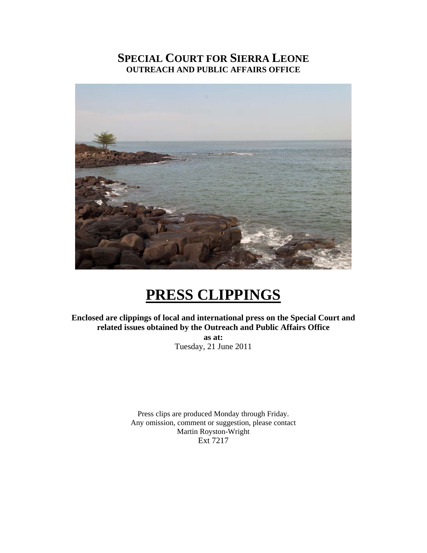# **SPECIAL COURT FOR SIERRA LEONE OUTREACH AND PUBLIC AFFAIRS OFFICE**



# **PRESS CLIPPINGS**

**Enclosed are clippings of local and international press on the Special Court and related issues obtained by the Outreach and Public Affairs Office as at:** 

Tuesday, 21 June 2011

Press clips are produced Monday through Friday. Any omission, comment or suggestion, please contact Martin Royston-Wright Ext 7217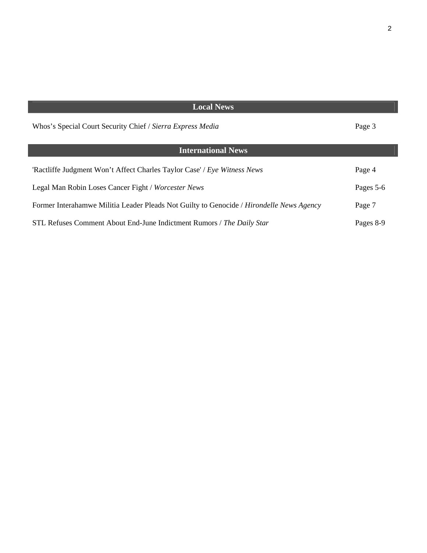| <b>Local News</b>                                                                        |           |
|------------------------------------------------------------------------------------------|-----------|
| Whos's Special Court Security Chief / Sierra Express Media                               | Page 3    |
| <b>International News</b>                                                                |           |
| 'Ractliffe Judgment Won't Affect Charles Taylor Case' / Eye Witness News                 | Page 4    |
| Legal Man Robin Loses Cancer Fight / Worcester News                                      | Pages 5-6 |
| Former Interahamwe Militia Leader Pleads Not Guilty to Genocide / Hirondelle News Agency | Page 7    |
| STL Refuses Comment About End-June Indictment Rumors / The Daily Star                    | Pages 8-9 |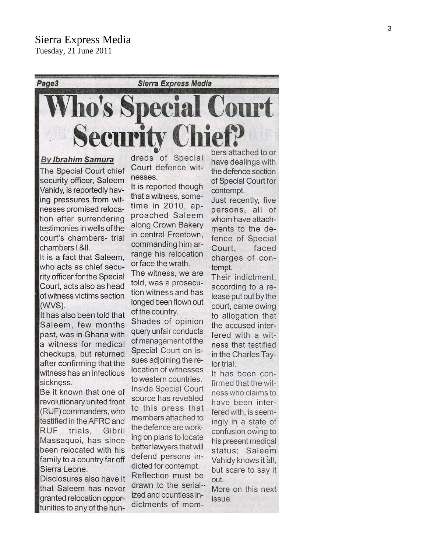Tuesday, 21 June 2011



The Special Court chief security officer, Saleem Vahidy, is reportedly having pressures from witnesses promised relocation after surrendering testimonies in wells of the court's chambers- trial chambers | &II.

It is a fact that Saleem. who acts as chief security officer for the Special Court, acts also as head of witness victims section (WVS).

It has also been told that Saleem, few months past, was in Ghana with a witness for medical checkups, but returned after confirming that the witness has an infectious sickness.

Be it known that one of revolutionary united front (RUF) commanders, who testified in the AFRC and RUF trials, Gibril Massaguoi, has since been relocated with his family to a country far off Sierra Leone.

Disclosures also have it that Saleem has never granted relocation opportunities to any of the hundreds of Special Court defence witnesses.

It is reported though that a witness, sometime in 2010, approached Saleem along Crown Bakery in central Freetown, commanding him arrange his relocation or face the wrath.

The witness, we are told, was a prosecution witness and has longed been flown out of the country.

Shades of opinion query unfair conducts of management of the Special Court on issues adjoining the relocation of witnesses to western countries. Inside Special Court source has revealed to this press that members attached to the defence are working on plans to locate better lawyers that will defend persons in-

dicted for contempt. Reflection must be drawn to the serialized and countless indictments of memhave dealings with the defence section of Special Court for contempt.

Just recently, five persons, all of whom have attachments to the defence of Special Court, faced charges of contempt.

Their indictment, according to a release put out by the court, came owing to allegation that the accused interfered with a witness that testified in the Charles Taylor trial.

It has been confirmed that the witness who claims to have been interfered with, is seemingly in a state of confusion owing to his present medical status; Saleem Vahidy knows it all, but scare to say it out.

More on this next issue.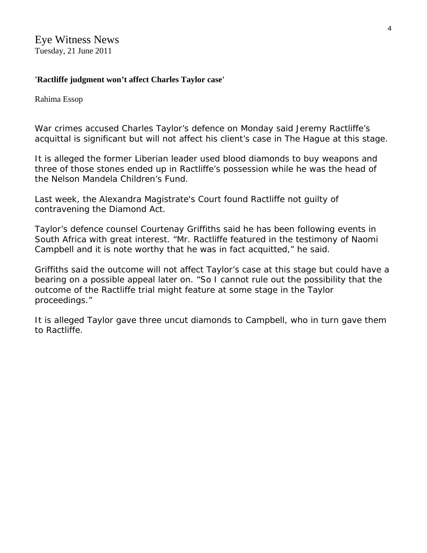Eye Witness News Tuesday, 21 June 2011

### **'Ractliffe judgment won't affect Charles Taylor case'**

Rahima Essop

War crimes accused Charles Taylor's defence on Monday said Jeremy Ractliffe's acquittal is significant but will not affect his client's case in The Hague at this stage.

It is alleged the former Liberian leader used blood diamonds to buy weapons and three of those stones ended up in Ractliffe's possession while he was the head of the Nelson Mandela Children's Fund.

Last week, the Alexandra Magistrate's Court found Ractliffe not guilty of contravening the Diamond Act.

Taylor's defence counsel Courtenay Griffiths said he has been following events in South Africa with great interest. "Mr. Ractliffe featured in the testimony of Naomi Campbell and it is note worthy that he was in fact acquitted," he said.

Griffiths said the outcome will not affect Taylor's case at this stage but could have a bearing on a possible appeal later on. "So I cannot rule out the possibility that the outcome of the Ractliffe trial might feature at some stage in the Taylor proceedings."

It is alleged Taylor gave three uncut diamonds to Campbell, who in turn gave them to Ractliffe.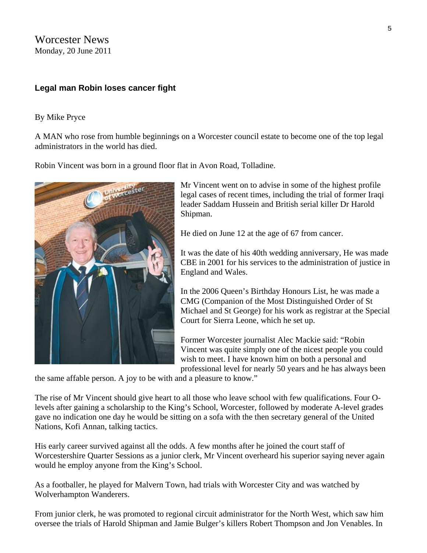Worcester News Monday, 20 June 2011

### **Legal man Robin loses cancer fight**

#### [By Mike Pryce](http://www.worcesternews.co.uk/news/biog/3072)

A MAN who rose from humble beginnings on a Worcester council estate to become one of the top legal administrators in the world has died.

Robin Vincent was born in a ground floor flat in Avon Road, Tolladine.



Mr Vincent went on to advise in some of the highest profile legal cases of recent times, including the trial of former Iraqi leader Saddam Hussein and British serial killer Dr Harold Shipman.

He died on June 12 at the age of 67 from cancer.

It was the date of his 40th wedding anniversary, He was made CBE in 2001 for his services to the administration of justice in England and Wales.

In the 2006 Queen's Birthday Honours List, he was made a CMG (Companion of the Most Distinguished Order of St Michael and St George) for his work as registrar at the Special Court for Sierra Leone, which he set up.

Former Worcester journalist Alec Mackie said: "Robin Vincent was quite simply one of the nicest people you could wish to meet. I have known him on both a personal and professional level for nearly 50 years and he has always been

the same affable person. A joy to be with and a pleasure to know."

The rise of Mr Vincent should give heart to all those who leave school with few qualifications. Four Olevels after gaining a scholarship to the King's School, Worcester, followed by moderate A-level grades gave no indication one day he would be sitting on a sofa with the then secretary general of the United Nations, Kofi Annan, talking tactics.

His early career survived against all the odds. A few months after he joined the court staff of Worcestershire Quarter Sessions as a junior clerk, Mr Vincent overheard his superior saying never again would he employ anyone from the King's School.

As a footballer, he played for Malvern Town, had trials with Worcester City and was watched by Wolverhampton Wanderers.

From junior clerk, he was promoted to regional circuit administrator for the North West, which saw him oversee the trials of Harold Shipman and Jamie Bulger's killers Robert Thompson and Jon Venables. In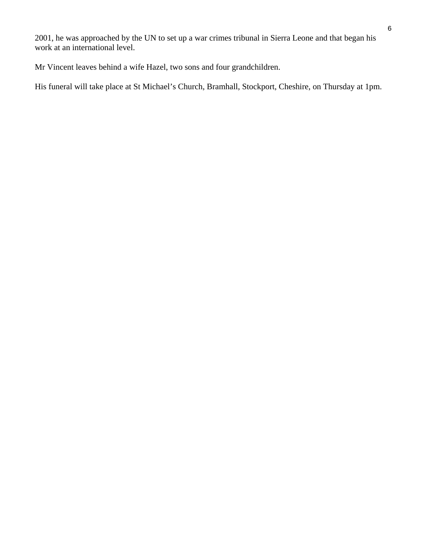2001, he was approached by the UN to set up a war crimes tribunal in Sierra Leone and that began his work at an international level.

Mr Vincent leaves behind a wife Hazel, two sons and four grandchildren.

His funeral will take place at St Michael's Church, Bramhall, Stockport, Cheshire, on Thursday at 1pm.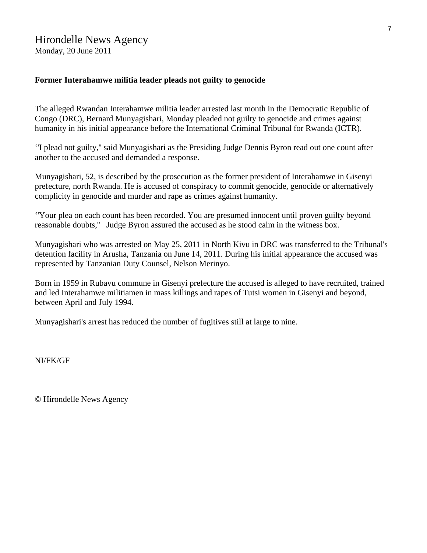# Hirondelle News Agency

Monday, 20 June 2011

#### **Former Interahamwe militia leader pleads not guilty to genocide**

The alleged Rwandan Interahamwe militia leader arrested last month in the Democratic Republic of Congo (DRC), Bernard Munyagishari, Monday pleaded not guilty to genocide and crimes against humanity in his initial appearance before the International Criminal Tribunal for Rwanda (ICTR).

''I plead not guilty,'' said Munyagishari as the Presiding Judge Dennis Byron read out one count after another to the accused and demanded a response.

Munyagishari, 52, is described by the prosecution as the former president of Interahamwe in Gisenyi prefecture, north Rwanda. He is accused of conspiracy to commit genocide, genocide or alternatively complicity in genocide and murder and rape as crimes against humanity.

''Your plea on each count has been recorded. You are presumed innocent until proven guilty beyond reasonable doubts,'' Judge Byron assured the accused as he stood calm in the witness box.

Munyagishari who was arrested on May 25, 2011 in North Kivu in DRC was transferred to the Tribunal's detention facility in Arusha, Tanzania on June 14, 2011. During his initial appearance the accused was represented by Tanzanian Duty Counsel, Nelson Merinyo.

Born in 1959 in Rubavu commune in Gisenyi prefecture the accused is alleged to have recruited, trained and led Interahamwe militiamen in mass killings and rapes of Tutsi women in Gisenyi and beyond, between April and July 1994.

Munyagishari's arrest has reduced the number of fugitives still at large to nine.

NI/FK/GF

© Hirondelle News Agency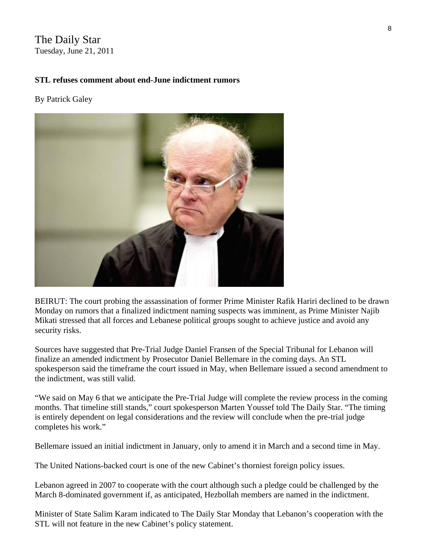## The Daily Star Tuesday, June 21, 2011

### **STL refuses comment about end-June indictment rumors**

#### By [Patrick Galey](http://www.dailystar.com.lb/Patrick-Galey.ashx)



BEIRUT: The court probing the assassination of former Prime Minister Rafik Hariri declined to be drawn Monday on rumors that a finalized indictment naming suspects was imminent, as Prime Minister Najib Mikati stressed that all forces and Lebanese political groups sought to achieve justice and avoid any security risks.

Sources have suggested that Pre-Trial Judge Daniel Fransen of the Special Tribunal for Lebanon will finalize an amended indictment by Prosecutor Daniel Bellemare in the coming days. An STL spokesperson said the timeframe the court issued in May, when Bellemare issued a second amendment to the indictment, was still valid.

"We said on May 6 that we anticipate the Pre-Trial Judge will complete the review process in the coming months. That timeline still stands," court spokesperson Marten Youssef told The Daily Star. "The timing is entirely dependent on legal considerations and the review will conclude when the pre-trial judge completes his work."

Bellemare issued an initial indictment in January, only to amend it in March and a second time in May.

The United Nations-backed court is one of the new Cabinet's thorniest foreign policy issues.

Lebanon agreed in 2007 to cooperate with the court although such a pledge could be challenged by the March 8-dominated government if, as anticipated, Hezbollah members are named in the indictment.

Minister of State Salim Karam indicated to The Daily Star Monday that Lebanon's cooperation with the STL will not feature in the new Cabinet's policy statement.